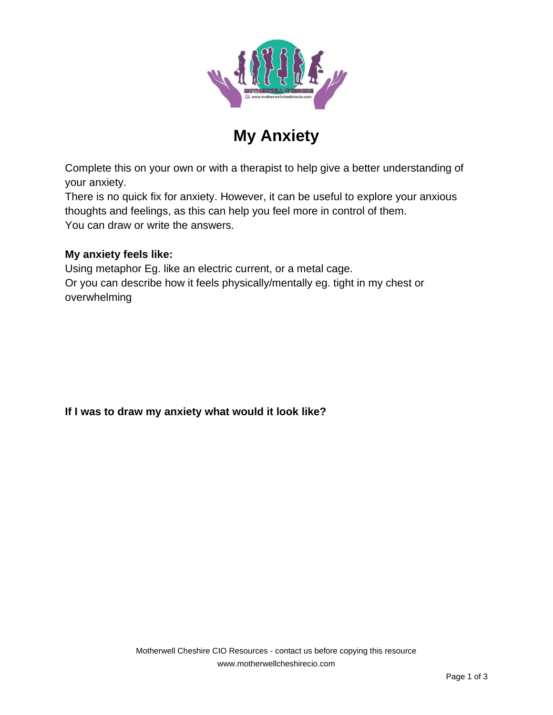

# **My Anxiety**

Complete this on your own or with a therapist to help give a better understanding of your anxiety.

There is no quick fix for anxiety. However, it can be useful to explore your anxious thoughts and feelings, as this can help you feel more in control of them. You can draw or write the answers.

#### **My anxiety feels like:**

Using metaphor Eg. like an electric current, or a metal cage. Or you can describe how it feels physically/mentally eg. tight in my chest or overwhelming

## **If I was to draw my anxiety what would it look like?**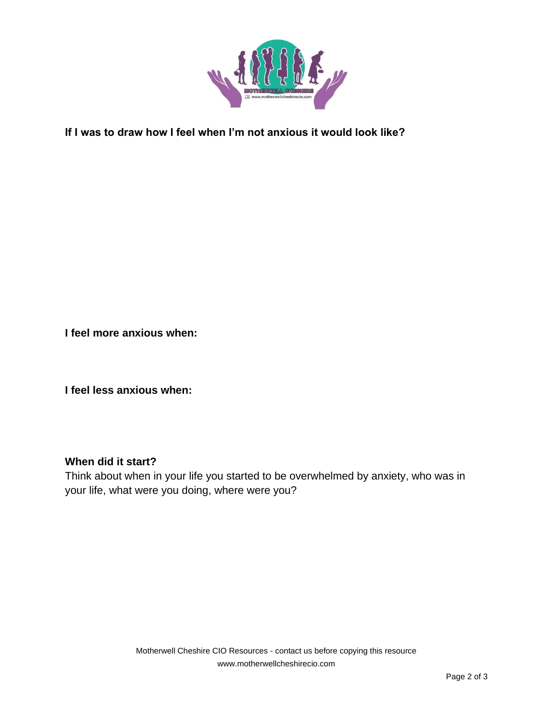

### **If I was to draw how I feel when I'm not anxious it would look like?**

**I feel more anxious when:**

**I feel less anxious when:**

#### **When did it start?**

Think about when in your life you started to be overwhelmed by anxiety, who was in your life, what were you doing, where were you?